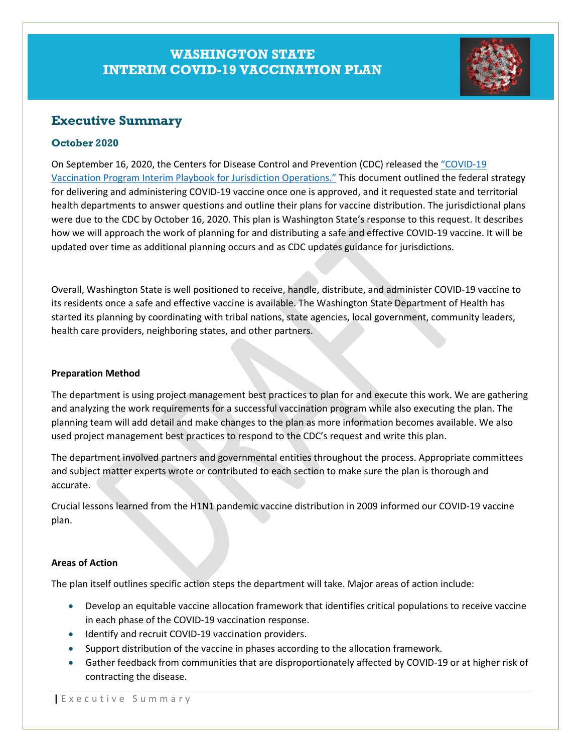# **WASHINGTON STATE INTERIM COVID-19 VACCINATION PLAN**



## **Executive Summary**

### **October 2020**

On September 16, 2020, the Centers for Disease Control and Prevention (CDC) released the ["COVID-19](https://www.cdc.gov/vaccines/imz-managers/downloads/COVID-19-Vaccination-Program-Interim_Playbook.pdf)  [Vaccination Program Interim Playbook for Jurisdiction Operations."](https://www.cdc.gov/vaccines/imz-managers/downloads/COVID-19-Vaccination-Program-Interim_Playbook.pdf) This document outlined the federal strategy for delivering and administering COVID-19 vaccine once one is approved, and it requested state and territorial health departments to answer questions and outline their plans for vaccine distribution. The jurisdictional plans were due to the CDC by October 16, 2020. This plan is Washington State's response to this request. It describes how we will approach the work of planning for and distributing a safe and effective COVID-19 vaccine. It will be updated over time as additional planning occurs and as CDC updates guidance for jurisdictions.

Overall, Washington State is well positioned to receive, handle, distribute, and administer COVID-19 vaccine to its residents once a safe and effective vaccine is available. The Washington State Department of Health has started its planning by coordinating with tribal nations, state agencies, local government, community leaders, health care providers, neighboring states, and other partners.

#### **Preparation Method**

The department is using project management best practices to plan for and execute this work. We are gathering and analyzing the work requirements for a successful vaccination program while also executing the plan. The planning team will add detail and make changes to the plan as more information becomes available. We also used project management best practices to respond to the CDC's request and write this plan.

The department involved partners and governmental entities throughout the process. Appropriate committees and subject matter experts wrote or contributed to each section to make sure the plan is thorough and accurate.

Crucial lessons learned from the H1N1 pandemic vaccine distribution in 2009 informed our COVID-19 vaccine plan.

### **Areas of Action**

The plan itself outlines specific action steps the department will take. Major areas of action include:

- Develop an equitable vaccine allocation framework that identifies critical populations to receive vaccine in each phase of the COVID-19 vaccination response.
- Identify and recruit COVID-19 vaccination providers.
- Support distribution of the vaccine in phases according to the allocation framework.
- Gather feedback from communities that are disproportionately affected by COVID-19 or at higher risk of contracting the disease.